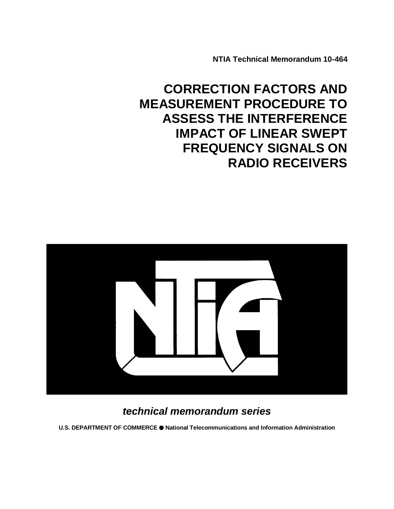**NTIA Technical Memorandum 10-464**

# **CORRECTION FACTORS AND MEASUREMENT PROCEDURE TO ASSESS THE INTERFERENCE IMPACT OF LINEAR SWEPT FREQUENCY SIGNALS ON RADIO RECEIVERS**



## *technical memorandum series*

**U.S. DEPARTMENT OF COMMERCE National Telecommunications and Information Administration**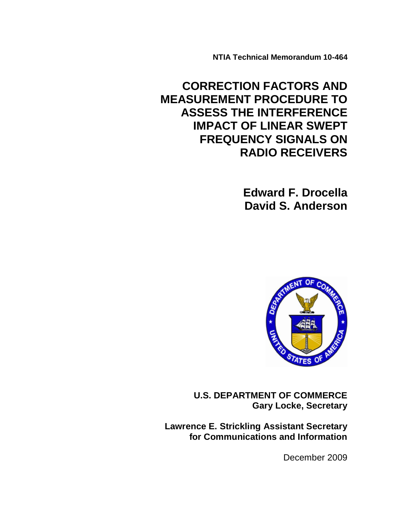**NTIA Technical Memorandum 10-464**

## **CORRECTION FACTORS AND MEASUREMENT PROCEDURE TO ASSESS THE INTERFERENCE IMPACT OF LINEAR SWEPT FREQUENCY SIGNALS ON RADIO RECEIVERS**

 **Edward F. Drocella David S. Anderson**



**U.S. DEPARTMENT OF COMMERCE Gary Locke, Secretary**

**Lawrence E. Strickling Assistant Secretary for Communications and Information**

December 2009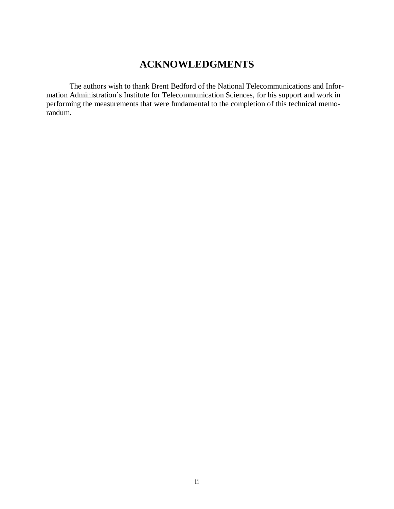## **ACKNOWLEDGMENTS**

The authors wish to thank Brent Bedford of the National Telecommunications and Information Administration's Institute for Telecommunication Sciences, for his support and work in performing the measurements that were fundamental to the completion of this technical memorandum.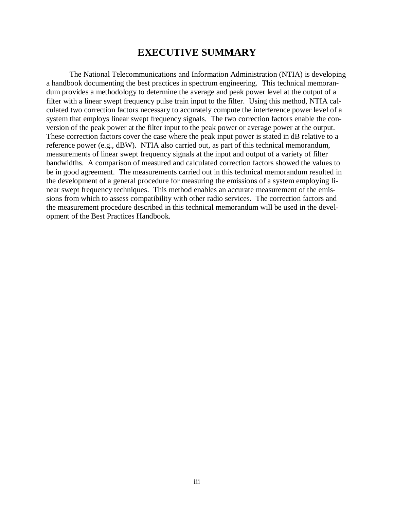## **EXECUTIVE SUMMARY**

The National Telecommunications and Information Administration (NTIA) is developing a handbook documenting the best practices in spectrum engineering. This technical memorandum provides a methodology to determine the average and peak power level at the output of a filter with a linear swept frequency pulse train input to the filter. Using this method, NTIA calculated two correction factors necessary to accurately compute the interference power level of a system that employs linear swept frequency signals. The two correction factors enable the conversion of the peak power at the filter input to the peak power or average power at the output. These correction factors cover the case where the peak input power is stated in dB relative to a reference power (e.g., dBW). NTIA also carried out, as part of this technical memorandum, measurements of linear swept frequency signals at the input and output of a variety of filter bandwidths. A comparison of measured and calculated correction factors showed the values to be in good agreement. The measurements carried out in this technical memorandum resulted in the development of a general procedure for measuring the emissions of a system employing linear swept frequency techniques. This method enables an accurate measurement of the emissions from which to assess compatibility with other radio services. The correction factors and the measurement procedure described in this technical memorandum will be used in the development of the Best Practices Handbook.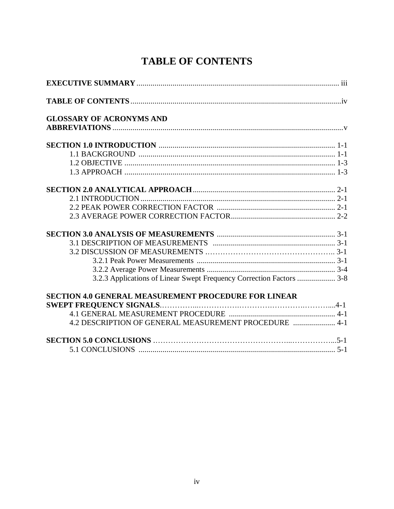## **TABLE OF CONTENTS**

| <b>GLOSSARY OF ACRONYMS AND</b>                                      |  |
|----------------------------------------------------------------------|--|
|                                                                      |  |
|                                                                      |  |
|                                                                      |  |
|                                                                      |  |
|                                                                      |  |
|                                                                      |  |
|                                                                      |  |
|                                                                      |  |
|                                                                      |  |
|                                                                      |  |
|                                                                      |  |
|                                                                      |  |
|                                                                      |  |
|                                                                      |  |
| 3.2.3 Applications of Linear Swept Frequency Correction Factors  3-8 |  |
| <b>SECTION 4.0 GENERAL MEASUREMENT PROCEDURE FOR LINEAR</b>          |  |
|                                                                      |  |
|                                                                      |  |
| 4.2 DESCRIPTION OF GENERAL MEASUREMENT PROCEDURE  4-1                |  |
|                                                                      |  |
|                                                                      |  |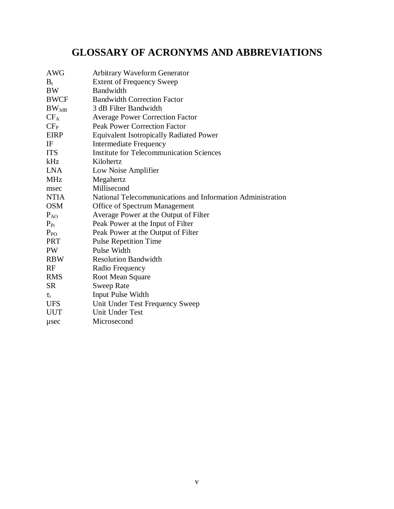## **GLOSSARY OF ACRONYMS AND ABBREVIATIONS**

| <b>AWG</b>    | <b>Arbitrary Waveform Generator</b>                        |
|---------------|------------------------------------------------------------|
| $B_t$         | <b>Extent of Frequency Sweep</b>                           |
| <b>BW</b>     | Bandwidth                                                  |
| <b>BWCF</b>   | <b>Bandwidth Correction Factor</b>                         |
| $BW_{3dB}$    | 3 dB Filter Bandwidth                                      |
| $CF_A$        | <b>Average Power Correction Factor</b>                     |
| $CF_{P}$      | <b>Peak Power Correction Factor</b>                        |
| <b>EIRP</b>   | <b>Equivalent Isotropically Radiated Power</b>             |
| IF            | <b>Intermediate Frequency</b>                              |
| <b>ITS</b>    | <b>Institute for Telecommunication Sciences</b>            |
| kHz           | Kilohertz                                                  |
| <b>LNA</b>    | Low Noise Amplifier                                        |
| <b>MHz</b>    | Megahertz                                                  |
| msec          | Millisecond                                                |
| <b>NTIA</b>   | National Telecommunications and Information Administration |
| <b>OSM</b>    | Office of Spectrum Management                              |
| $P_{AO}$      | Average Power at the Output of Filter                      |
| $P_{\rm{Pi}}$ | Peak Power at the Input of Filter                          |
| $P_{PO}$      | Peak Power at the Output of Filter                         |
| <b>PRT</b>    | <b>Pulse Repetition Time</b>                               |
| PW            | Pulse Width                                                |
| <b>RBW</b>    | <b>Resolution Bandwidth</b>                                |
| RF            | Radio Frequency                                            |
| <b>RMS</b>    | Root Mean Square                                           |
| <b>SR</b>     | <b>Sweep Rate</b>                                          |
| $\tau_i$      | Input Pulse Width                                          |
| <b>UFS</b>    | Unit Under Test Frequency Sweep                            |
| <b>UUT</b>    | <b>Unit Under Test</b>                                     |
| usec          | Microsecond                                                |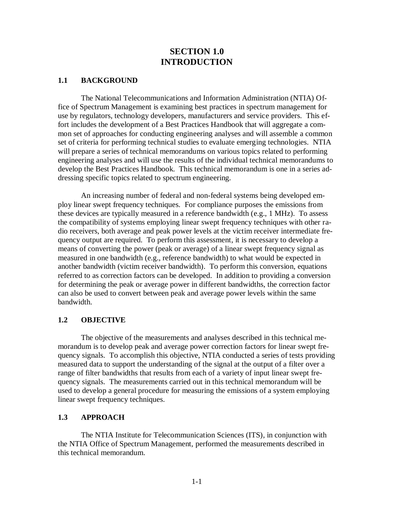## **SECTION 1.0 INTRODUCTION**

#### **1.1 BACKGROUND**

The National Telecommunications and Information Administration (NTIA) Office of Spectrum Management is examining best practices in spectrum management for use by regulators, technology developers, manufacturers and service providers. This effort includes the development of a Best Practices Handbook that will aggregate a common set of approaches for conducting engineering analyses and will assemble a common set of criteria for performing technical studies to evaluate emerging technologies. NTIA will prepare a series of technical memorandums on various topics related to performing engineering analyses and will use the results of the individual technical memorandums to develop the Best Practices Handbook. This technical memorandum is one in a series addressing specific topics related to spectrum engineering.

An increasing number of federal and non-federal systems being developed employ linear swept frequency techniques. For compliance purposes the emissions from these devices are typically measured in a reference bandwidth (e.g., 1 MHz). To assess the compatibility of systems employing linear swept frequency techniques with other radio receivers, both average and peak power levels at the victim receiver intermediate frequency output are required. To perform this assessment, it is necessary to develop a means of converting the power (peak or average) of a linear swept frequency signal as measured in one bandwidth (e.g., reference bandwidth) to what would be expected in another bandwidth (victim receiver bandwidth). To perform this conversion, equations referred to as correction factors can be developed. In addition to providing a conversion for determining the peak or average power in different bandwidths, the correction factor can also be used to convert between peak and average power levels within the same bandwidth.

### **1.2 OBJECTIVE**

The objective of the measurements and analyses described in this technical memorandum is to develop peak and average power correction factors for linear swept frequency signals. To accomplish this objective, NTIA conducted a series of tests providing measured data to support the understanding of the signal at the output of a filter over a range of filter bandwidths that results from each of a variety of input linear swept frequency signals. The measurements carried out in this technical memorandum will be used to develop a general procedure for measuring the emissions of a system employing linear swept frequency techniques.

### **1.3 APPROACH**

The NTIA Institute for Telecommunication Sciences (ITS), in conjunction with the NTIA Office of Spectrum Management, performed the measurements described in this technical memorandum.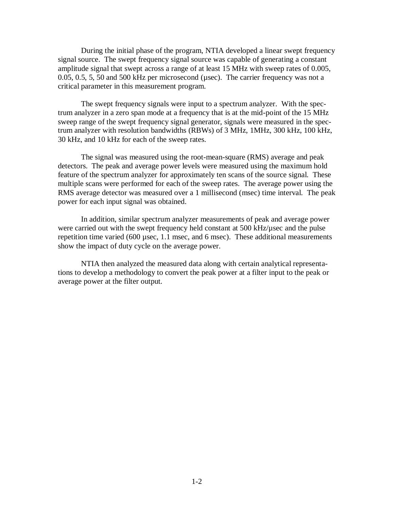During the initial phase of the program, NTIA developed a linear swept frequency signal source. The swept frequency signal source was capable of generating a constant amplitude signal that swept across a range of at least 15 MHz with sweep rates of 0.005, 0.05, 0.5, 5, 50 and 500 kHz per microsecond (µsec). The carrier frequency was not a critical parameter in this measurement program.

The swept frequency signals were input to a spectrum analyzer. With the spectrum analyzer in a zero span mode at a frequency that is at the mid-point of the 15 MHz sweep range of the swept frequency signal generator, signals were measured in the spectrum analyzer with resolution bandwidths (RBWs) of 3 MHz, 1MHz, 300 kHz, 100 kHz, 30 kHz, and 10 kHz for each of the sweep rates.

The signal was measured using the root-mean-square (RMS) average and peak detectors. The peak and average power levels were measured using the maximum hold feature of the spectrum analyzer for approximately ten scans of the source signal. These multiple scans were performed for each of the sweep rates. The average power using the RMS average detector was measured over a 1 millisecond (msec) time interval. The peak power for each input signal was obtained.

In addition, similar spectrum analyzer measurements of peak and average power were carried out with the swept frequency held constant at 500 kHz/µsec and the pulse repetition time varied (600 µsec, 1.1 msec, and 6 msec). These additional measurements show the impact of duty cycle on the average power.

NTIA then analyzed the measured data along with certain analytical representations to develop a methodology to convert the peak power at a filter input to the peak or average power at the filter output.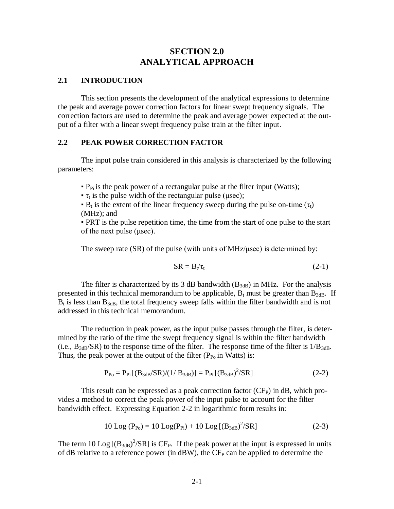## **SECTION 2.0 ANALYTICAL APPROACH**

#### **2.1 INTRODUCTION**

This section presents the development of the analytical expressions to determine the peak and average power correction factors for linear swept frequency signals. The correction factors are used to determine the peak and average power expected at the output of a filter with a linear swept frequency pulse train at the filter input.

### **2.2 PEAK POWER CORRECTION FACTOR**

The input pulse train considered in this analysis is characterized by the following parameters:

 $\bullet$  P<sub>Pi</sub> is the peak power of a rectangular pulse at the filter input (Watts);

 $\tau_t$  is the pulse width of the rectangular pulse (μsec);

 $\bullet$  B<sub>t</sub> is the extent of the linear frequency sweep during the pulse on-time ( $\tau_t$ ) (MHz); and

▪ PRT is the pulse repetition time, the time from the start of one pulse to the start of the next pulse (μsec).

The sweep rate (SR) of the pulse (with units of MHz/usec) is determined by:

$$
SR = B_t / \tau_t \tag{2-1}
$$

The filter is characterized by its 3 dB bandwidth  $(B_{3dB})$  in MHz. For the analysis presented in this technical memorandum to be applicable,  $B_t$  must be greater than  $B_{3dB}$ . If  $B_t$  is less than  $B_{3dB}$ , the total frequency sweep falls within the filter bandwidth and is not addressed in this technical memorandum.

The reduction in peak power, as the input pulse passes through the filter, is determined by the ratio of the time the swept frequency signal is within the filter bandwidth (i.e.,  $B_{3dB}/SR$ ) to the response time of the filter. The response time of the filter is  $1/B_{3dB}$ . Thus, the peak power at the output of the filter  $(P_{P0}$  in Watts) is:

$$
P_{P0} = P_{Pi} [(B_{3dB} / SR)/(1/B_{3dB})] = P_{Pi} [(B_{3dB})^2 / SR]
$$
 (2-2)

This result can be expressed as a peak correction factor  $(CF_P)$  in dB, which provides a method to correct the peak power of the input pulse to account for the filter bandwidth effect. Expressing Equation 2-2 in logarithmic form results in:

$$
10 \text{ Log } (P_{P0}) = 10 \text{ Log}(P_{Pi}) + 10 \text{ Log } [(B_{3dB})^2/\text{SR}]
$$
\n(2-3)

The term 10  $\text{Log}[(B_{3dB})^2/\text{SR}]$  is CF<sub>P</sub>. If the peak power at the input is expressed in units of dB relative to a reference power (in  $dBW$ ), the  $CF<sub>P</sub>$  can be applied to determine the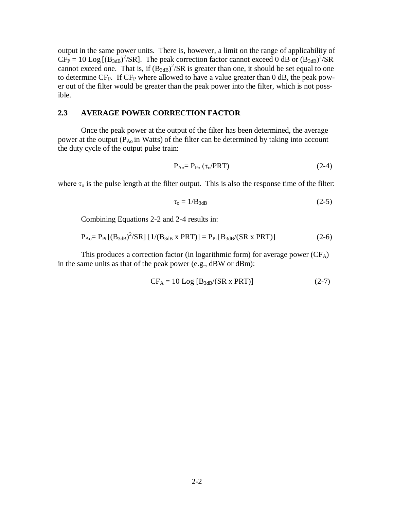output in the same power units. There is, however, a limit on the range of applicability of  $CF_P = 10 \text{ Log } [(B_{3dB})^2 / SR]$ . The peak correction factor cannot exceed 0 dB or  $(B_{3dB})^2 / SR$ cannot exceed one. That is, if  $(B_{3dB})^2/SR$  is greater than one, it should be set equal to one to determine  $CF_{P}$ . If  $CF_{P}$  where allowed to have a value greater than 0 dB, the peak power out of the filter would be greater than the peak power into the filter, which is not possible.

#### **2.3 AVERAGE POWER CORRECTION FACTOR**

Once the peak power at the output of the filter has been determined, the average power at the output  $(P_{A_0}$  in Watts) of the filter can be determined by taking into account the duty cycle of the output pulse train:

$$
P_{Ao} = P_{Po} \left( \tau_0 / PRT \right) \tag{2-4}
$$

where  $\tau_0$  is the pulse length at the filter output. This is also the response time of the filter:

$$
\tau_{\rm o} = 1/B_{3\,\rm dB} \tag{2-5}
$$

Combining Equations 2-2 and 2-4 results in:

$$
P_{Ao} = P_{Pi} [(B_{3dB})^2 / SR] [1/(B_{3dB} \times PRT)] = P_{Pi} [B_{3dB} / (SR \times PRT)]
$$
 (2-6)

This produces a correction factor (in logarithmic form) for average power  $(CF_A)$ in the same units as that of the peak power (e.g., dBW or dBm):

$$
CF_A = 10 Log [B3dB/(SR x PRT)]
$$
 (2-7)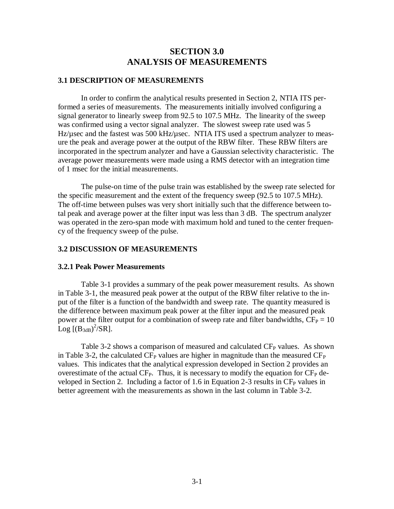## **SECTION 3.0 ANALYSIS OF MEASUREMENTS**

#### **3.1 DESCRIPTION OF MEASUREMENTS**

In order to confirm the analytical results presented in Section 2, NTIA ITS performed a series of measurements. The measurements initially involved configuring a signal generator to linearly sweep from 92.5 to 107.5 MHz. The linearity of the sweep was confirmed using a vector signal analyzer. The slowest sweep rate used was 5 Hz/usec and the fastest was 500 kHz/usec. NTIA ITS used a spectrum analyzer to measure the peak and average power at the output of the RBW filter. These RBW filters are incorporated in the spectrum analyzer and have a Gaussian selectivity characteristic. The average power measurements were made using a RMS detector with an integration time of 1 msec for the initial measurements.

The pulse-on time of the pulse train was established by the sweep rate selected for the specific measurement and the extent of the frequency sweep (92.5 to 107.5 MHz). The off-time between pulses was very short initially such that the difference between total peak and average power at the filter input was less than 3 dB. The spectrum analyzer was operated in the zero-span mode with maximum hold and tuned to the center frequency of the frequency sweep of the pulse.

#### **3.2 DISCUSSION OF MEASUREMENTS**

#### **3.2.1 Peak Power Measurements**

Table 3-1 provides a summary of the peak power measurement results. As shown in Table 3-1, the measured peak power at the output of the RBW filter relative to the input of the filter is a function of the bandwidth and sweep rate. The quantity measured is the difference between maximum peak power at the filter input and the measured peak power at the filter output for a combination of sweep rate and filter bandwidths,  $CF_P = 10$  $\text{Log}$  [(B<sub>3dB</sub>)<sup>2</sup>/SR].

Table 3-2 shows a comparison of measured and calculated  $CF<sub>P</sub>$  values. As shown in Table 3-2, the calculated  $CF_P$  values are higher in magnitude than the measured  $CF_P$ values. This indicates that the analytical expression developed in Section 2 provides an overestimate of the actual  $CF_{P}$ . Thus, it is necessary to modify the equation for  $CF_{P}$  developed in Section 2. Including a factor of 1.6 in Equation 2-3 results in  $CF<sub>P</sub>$  values in better agreement with the measurements as shown in the last column in Table 3-2.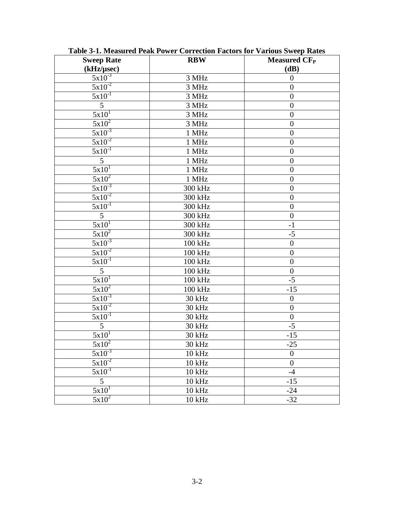| <b>Sweep Rate</b><br>(kHz/µsec) | <b>RBW</b>         | <b>Measured CF<sub>P</sub></b><br>(dB) |
|---------------------------------|--------------------|----------------------------------------|
| $5x10^{-3}$                     | 3 MHz              | $\boldsymbol{0}$                       |
| $5x10^{-2}$                     | 3 MHz              | $\boldsymbol{0}$                       |
| $5x10^{-1}$                     | 3 MHz              | $\boldsymbol{0}$                       |
| 5                               | 3 MHz              | $\boldsymbol{0}$                       |
| $5x10^1$                        | 3 MHz              | $\boldsymbol{0}$                       |
| $5x10^2$                        | 3 MHz              | $\boldsymbol{0}$                       |
| $\frac{5x10^{-3}}{2}$           | 1 MHz              | $\boldsymbol{0}$                       |
| $5x10^{-2}$                     | 1 MHz              | $\boldsymbol{0}$                       |
| $5x10^{-1}$                     | 1 MHz              | $\boldsymbol{0}$                       |
| $\overline{5}$                  | 1 MHz              | $\boldsymbol{0}$                       |
| 5x10                            | 1 MHz              | $\boldsymbol{0}$                       |
| $\frac{5x}{10^2}$               | $1$ MHz            | $\boldsymbol{0}$                       |
| $5x10^{-3}$                     | 300 kHz            | $\boldsymbol{0}$                       |
| $5x10^{-2}$                     | 300 kHz            | $\overline{0}$                         |
| $\frac{5x}{10^{-1}}$            | 300 kHz            | $\boldsymbol{0}$                       |
| $\mathfrak{S}$                  | 300 kHz            | $\mathbf{0}$                           |
| 5x10 <sup>1</sup>               | 300 kHz            | $-1$                                   |
| $5x10^2$                        | 300 kHz            | $-5$                                   |
| $5x10^{-3}$                     | 100 kHz            | $\boldsymbol{0}$                       |
| $\sqrt{5x10^2}$                 | 100 kHz            | $\boldsymbol{0}$                       |
| $5x10^{-1}$                     | 100 kHz            | $\boldsymbol{0}$                       |
| $\overline{5}$                  | 100 kHz            | $\overline{0}$                         |
| $5x10$ <sup>1</sup>             | 100 kHz            | $-5$                                   |
| $5x10^2$                        | 100 kHz            | $-15$                                  |
| $\frac{5x}{10^{-3}}$            | 30 kHz             | $\boldsymbol{0}$                       |
| $5x10^{-2}$                     | 30 kHz             | $\boldsymbol{0}$                       |
| $5x10^{-1}$                     | 30 kHz             | $\overline{0}$                         |
| 5                               | 30 kHz             | $-5$                                   |
| $5x10^T$                        | 30 kHz             | $-15$                                  |
| $5x10^2$                        | 30 kHz             | $-25$                                  |
| $5x10^{-3}$                     | $10$ kHz           | $\boldsymbol{0}$                       |
| $5x10^{-2}$                     | $10$ kHz           | $\overline{0}$                         |
| $\frac{5x}{10^{-1}}$            | $10$ kHz           | $-4$                                   |
| $\overline{5}$                  | $10$ kHz           | $-15$                                  |
| $5x10^1$                        | $10$ kHz           | $-24$                                  |
| $5x10^2$                        | $10\ \mathrm{kHz}$ | $-32$                                  |

**Table 3-1. Measured Peak Power Correction Factors for Various Sweep Rates**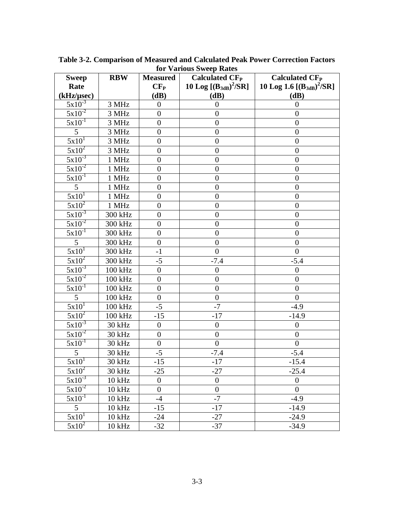| <b>Sweep</b>           | <b>RBW</b>                  | <b>Measured</b>  | <b>Calculated CF<sub>P</sub></b> | <b>Calculated CF<sub>P</sub></b> |
|------------------------|-----------------------------|------------------|----------------------------------|----------------------------------|
| Rate                   |                             | $CF_{P}$         | 10 Log $[(B_{3dB})^2/SR]$        | 10 Log 1.6 $[(B_{3dB})^2/SR]$    |
| (kHz/µsec)             |                             | (dB)             | (dB)                             | (dB)                             |
| $5x10^{-3}$            | 3 MHz                       | $\boldsymbol{0}$ | $\overline{0}$                   | $\boldsymbol{0}$                 |
| $5x10^{-2}$            | 3 MHz                       | $\overline{0}$   | $\overline{0}$                   | $\overline{0}$                   |
| $5x10^{-1}$            | 3 MHz                       | $\boldsymbol{0}$ | $\overline{0}$                   | $\boldsymbol{0}$                 |
| 5                      | 3 MHz                       | $\overline{0}$   | $\overline{0}$                   | $\overline{0}$                   |
| $5x10^T$               | 3 MHz                       | $\boldsymbol{0}$ | $\boldsymbol{0}$                 | $\boldsymbol{0}$                 |
| $5x10^2$               | 3 MHz                       | $\overline{0}$   | $\overline{0}$                   | $\overline{0}$                   |
| $5x10^{-3}$            | $1~\mathrm{MHz}$            | $\overline{0}$   | $\overline{0}$                   | $\overline{0}$                   |
| $5x\overline{10^{-2}}$ | 1 MHz                       | $\overline{0}$   | $\boldsymbol{0}$                 | $\boldsymbol{0}$                 |
| $5x10^{-1}$            | 1 MHz                       | $\overline{0}$   | $\overline{0}$                   | $\boldsymbol{0}$                 |
| 5                      | 1 MHz                       | $\overline{0}$   | $\boldsymbol{0}$                 | $\boldsymbol{0}$                 |
| $5x10$ <sup>T</sup>    | 1 MHz                       | $\overline{0}$   | $\boldsymbol{0}$                 | $\boldsymbol{0}$                 |
| $5x10^2$               | 1 MHz                       | $\overline{0}$   | $\overline{0}$                   | $\overline{0}$                   |
| $5x10^{-3}$            | 300 kHz                     | $\boldsymbol{0}$ | $\overline{0}$                   | $\boldsymbol{0}$                 |
| $5x10^{-2}$            | 300 kHz                     | 0                | $\overline{0}$                   | $\boldsymbol{0}$                 |
| $5x10^{-1}$            | 300 kHz                     | $\overline{0}$   | $\boldsymbol{0}$                 | $\boldsymbol{0}$                 |
| 5                      | 300 kHz                     | $\theta$         | $\boldsymbol{0}$                 | $\boldsymbol{0}$                 |
| 5x10 <sup>1</sup>      | 300 kHz                     | $-1$             | $\overline{0}$                   | $\overline{0}$                   |
| $5x10^2$               | 300 kHz                     | $-5$             | $-7.4$                           | $-5.4$                           |
| $5x10^{-3}$            | 100 kHz                     | $\theta$         | $\theta$                         | $\theta$                         |
| $5x10^{-2}$            | 100 kHz                     | $\overline{0}$   | $\overline{0}$                   | $\overline{0}$                   |
| $5x10^{-1}$            | 100 kHz                     | $\boldsymbol{0}$ | $\boldsymbol{0}$                 | $\boldsymbol{0}$                 |
| 5                      | 100 kHz                     | $\boldsymbol{0}$ | $\overline{0}$                   | $\overline{0}$                   |
| $5x10^T$               | 100 kHz                     | $-5$             | $-7$                             | $-4.9$                           |
| $5x10^2$               | 100 kHz                     | $-15$            | $-17$                            | $-14.9$                          |
| $5x\overline{10^{-3}}$ | 30 kHz                      | $\boldsymbol{0}$ | $\boldsymbol{0}$                 | $\overline{0}$                   |
| $5x10^{-2}$            | 30 kHz                      | $\overline{0}$   | $\boldsymbol{0}$                 | $\overline{0}$                   |
| $5x10^{-1}$            | 30 kHz                      | $\theta$         | $\theta$                         | $\boldsymbol{0}$                 |
| 5                      | 30 kHz                      | $-5$             | $-7.4$                           | $-5.4$                           |
| 5x10 <sup>1</sup>      | $\overline{30 \text{ kHz}}$ | -15              | -17                              | $-15.4$                          |
| $5x10^2$               | 30 kHz                      | $-25$            | $-27$                            | $-25.4$                          |
| $5x10^{-3}$            | $10$ kHz                    | $\boldsymbol{0}$ | $\overline{0}$                   | $\mathbf{0}$                     |
| $5x10^{-2}$            | $10$ kHz                    | $\theta$         | $\overline{0}$                   | $\mathbf{0}$                     |
| $5x10^{-1}$            | $10$ kHz                    | $-4$             | $-7$                             | $-4.9$                           |
| 5                      | $10$ kHz                    | $-15$            | $-17$                            | $-14.9$                          |
| $5x10^T$               | 10 kHz                      | $-24$            | $-27$                            | $-24.9$                          |
| $5x10^2$               | $10$ kHz                    | $-32$            | $-37$                            | $-34.9$                          |

**Table 3-2. Comparison of Measured and Calculated Peak Power Correction Factors for Various Sweep Rates**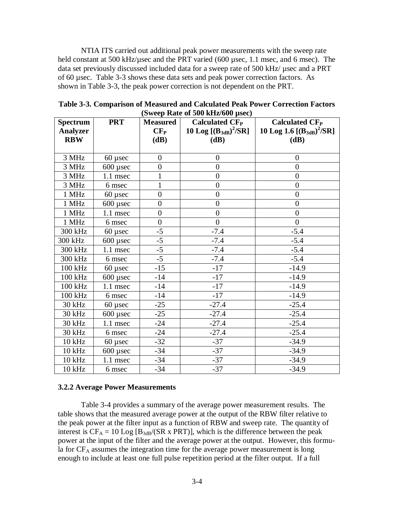NTIA ITS carried out additional peak power measurements with the sweep rate held constant at 500 kHz/µsec and the PRT varied (600 µsec, 1.1 msec, and 6 msec). The data set previously discussed included data for a sweep rate of 500 kHz/ usec and a PRT of 60 µsec. Table 3-3 shows these data sets and peak power correction factors. As shown in Table 3-3, the peak power correction is not dependent on the PRT.

| <b>Spectrum</b><br><b>Analyzer</b> | <b>PRT</b> | <b>Measured</b><br>CF <sub>P</sub> | Calculated $CFP$<br>10 Log $[(B_{3dB})^2/SR]$ | <b>Calculated CF<sub>P</sub></b><br>10 Log 1.6 $[(B_{3dB})^2/SR]$ |
|------------------------------------|------------|------------------------------------|-----------------------------------------------|-------------------------------------------------------------------|
| <b>RBW</b>                         |            | (dB)                               | (dB)                                          | (dB)                                                              |
|                                    |            |                                    |                                               |                                                                   |
| 3 MHz                              | $60$ µsec  | $\boldsymbol{0}$                   | $\theta$                                      | $\theta$                                                          |
| 3 MHz                              | $600$ µsec | $\boldsymbol{0}$                   | $\boldsymbol{0}$                              | $\boldsymbol{0}$                                                  |
| 3 MHz                              | $1.1$ msec | 1                                  | $\overline{0}$                                | $\overline{0}$                                                    |
| 3 MHz                              | 6 msec     | $\mathbf 1$                        | $\overline{0}$                                | $\overline{0}$                                                    |
| 1 MHz                              | $60$ µsec  | $\overline{0}$                     | $\overline{0}$                                | $\boldsymbol{0}$                                                  |
| 1 MHz                              | $600$ usec | $\boldsymbol{0}$                   | $\boldsymbol{0}$                              | $\overline{0}$                                                    |
| 1 MHz                              | 1.1 msec   | $\overline{0}$                     | $\boldsymbol{0}$                              | $\overline{0}$                                                    |
| 1 MHz                              | 6 msec     | $\overline{0}$                     | $\overline{0}$                                | $\overline{0}$                                                    |
| 300 kHz                            | $60$ µsec  | $-5$                               | $-7.4$                                        | $-5.4$                                                            |
| 300 kHz                            | $600$ µsec | $\overline{-5}$                    | $-7.4$                                        | $-5.4$                                                            |
| 300 kHz                            | 1.1 msec   | $-5$                               | $-7.4$                                        | $-5.4$                                                            |
| 300 kHz                            | 6 msec     | $-5$                               | $-7.4$                                        | $-5.4$                                                            |
| 100 kHz                            | $60$ µsec  | $-15$                              | $-17$                                         | $-14.9$                                                           |
| 100 kHz                            | $600$ µsec | $-14$                              | $-17$                                         | $-14.9$                                                           |
| 100 kHz                            | 1.1 msec   | $-14$                              | $-17$                                         | $-14.9$                                                           |
| 100 kHz                            | 6 msec     | -14                                | $-17$                                         | $-14.9$                                                           |
| 30 kHz                             | $60$ µsec  | $-25$                              | $-27.4$                                       | $-25.4$                                                           |
| 30 kHz                             | $600$ usec | $-25$                              | $-27.4$                                       | $-25.4$                                                           |
| 30 kHz                             | 1.1 msec   | $-24$                              | $-27.4$                                       | $-25.4$                                                           |
| 30 kHz                             | 6 msec     | $-24$                              | $-27.4$                                       | $-25.4$                                                           |
| $10$ kHz                           | $60$ µsec  | $-32$                              | $-37$                                         | $-34.9$                                                           |
| 10 kHz                             | $600$ µsec | $-34$                              | $-37$                                         | $-34.9$                                                           |
| <b>10 kHz</b>                      | 1.1 msec   | $-34$                              | $-37$                                         | $-34.9$                                                           |
| 10 kHz                             | 6 msec     | $-34$                              | $-37$                                         | $-34.9$                                                           |

**Table 3-3. Comparison of Measured and Calculated Peak Power Correction Factors (Sweep Rate of 500 kHz/600 µsec)**

#### **3.2.2 Average Power Measurements**

Table 3-4 provides a summary of the average power measurement results. The table shows that the measured average power at the output of the RBW filter relative to the peak power at the filter input as a function of RBW and sweep rate. The quantity of interest is  $CF_A = 10 \text{ Log } [B_{3dB}/(SR \times PRT)]$ , which is the difference between the peak power at the input of the filter and the average power at the output. However, this formula for CF<sub>A</sub> assumes the integration time for the average power measurement is long enough to include at least one full pulse repetition period at the filter output. If a full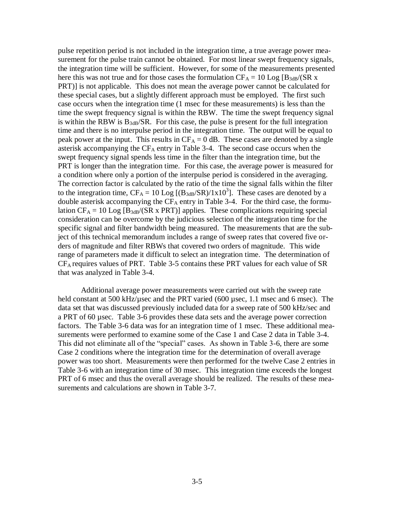pulse repetition period is not included in the integration time, a true average power measurement for the pulse train cannot be obtained. For most linear swept frequency signals, the integration time will be sufficient. However, for some of the measurements presented here this was not true and for those cases the formulation  $CF_A = 10$  Log  $[B_{3dB}/(SR)x$ PRT)] is not applicable. This does not mean the average power cannot be calculated for these special cases, but a slightly different approach must be employed. The first such case occurs when the integration time (1 msec for these measurements) is less than the time the swept frequency signal is within the RBW. The time the swept frequency signal is within the RBW is  $B_{3dB}/SR$ . For this case, the pulse is present for the full integration time and there is no interpulse period in the integration time. The output will be equal to peak power at the input. This results in  $CF_A = 0$  dB. These cases are denoted by a single asterisk accompanying the  $CF_A$  entry in Table 3-4. The second case occurs when the swept frequency signal spends less time in the filter than the integration time, but the PRT is longer than the integration time. For this case, the average power is measured for a condition where only a portion of the interpulse period is considered in the averaging. The correction factor is calculated by the ratio of the time the signal falls within the filter to the integration time,  $CF_A = 10 \text{ Log } [(B_{3dB}/SR)/1x10^3]$ . These cases are denoted by a double asterisk accompanying the  $CF_A$  entry in Table 3-4. For the third case, the formulation  $CF_A = 10$  Log  $[B_{3dB}/(SR \times PRT)]$  applies. These complications requiring special consideration can be overcome by the judicious selection of the integration time for the specific signal and filter bandwidth being measured. The measurements that are the subject of this technical memorandum includes a range of sweep rates that covered five orders of magnitude and filter RBWs that covered two orders of magnitude. This wide range of parameters made it difficult to select an integration time. The determination of CF<sup>A</sup> requires values of PRT. Table 3-5 contains these PRT values for each value of SR that was analyzed in Table 3-4.

Additional average power measurements were carried out with the sweep rate held constant at 500 kHz/ $\mu$ sec and the PRT varied (600 µsec, 1.1 msec and 6 msec). The data set that was discussed previously included data for a sweep rate of 500 kHz/sec and a PRT of 60 µsec. Table 3-6 provides these data sets and the average power correction factors. The Table 3-6 data was for an integration time of 1 msec. These additional measurements were performed to examine some of the Case 1 and Case 2 data in Table 3-4. This did not eliminate all of the "special" cases. As shown in Table 3-6, there are some Case 2 conditions where the integration time for the determination of overall average power was too short. Measurements were then performed for the twelve Case 2 entries in Table 3-6 with an integration time of 30 msec. This integration time exceeds the longest PRT of 6 msec and thus the overall average should be realized. The results of these measurements and calculations are shown in Table 3-7.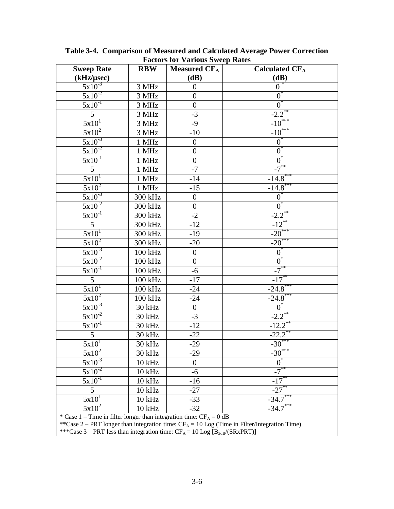| <b>Sweep Rate</b>                                                                | <b>RBW</b>         | Measured $CF_A$  | <b>Calculated CFA</b> |  |
|----------------------------------------------------------------------------------|--------------------|------------------|-----------------------|--|
| (kHz/µsec)                                                                       |                    | (dB)             | (dB)                  |  |
| $5x10^{-3}$                                                                      | 3 MHz              | $\boldsymbol{0}$ | $0^{\degree}$         |  |
| $5x\overline{10^{-2}}$                                                           | 3 MHz              | $\overline{0}$   | $\overline{0}^*$      |  |
| $5x\overline{10^{-1}}$                                                           | 3 MHz              | $\boldsymbol{0}$ | $0^*$                 |  |
| $5\phantom{.0}$                                                                  | 3 MHz              | $-3$             | $-2.2$ <sup>**</sup>  |  |
| 5x10 <sup>1</sup>                                                                | $3~\mathrm{MHz}$   | $-9$             | $-10^{*}$             |  |
| $5x10^2$                                                                         | 3 MHz              | $-10$            | $-10^{***}$           |  |
| $\frac{5x}{10^{-3}}$                                                             | 1 MHz              | $\boldsymbol{0}$ | $0^*$                 |  |
| $\frac{5x}{10^{-2}}$                                                             | 1 MHz              | $\boldsymbol{0}$ | $0^*$                 |  |
| $5x10^{-1}$                                                                      | 1 MHz              | $\boldsymbol{0}$ | $\overline{0}$        |  |
| $5\overline{)}$                                                                  | 1 MHz              | $-7$             | $-7^{**}$             |  |
| 5x10 <sup>1</sup>                                                                | 1 MHz              | $-14$            | $-14.8$               |  |
| $5x10^2$                                                                         | 1 MHz              | $-15$            | $-14.8$ <sup>*</sup>  |  |
| $5x10^{-3}$                                                                      | 300 kHz            | $\boldsymbol{0}$ | $0^*$                 |  |
| $5x10^{-2}$                                                                      | 300 kHz            | $\boldsymbol{0}$ | $0^*$                 |  |
| $5x10^{-1}$                                                                      | 300 kHz            | $-2$             | $-2.2$ <sup>*</sup>   |  |
| $\mathfrak{S}$                                                                   | 300 kHz            | $-12$            | $-12$ <sup>*</sup>    |  |
| 5x10 <sup>1</sup>                                                                | 300 kHz            | $-19$            | $-20$ <sup>**</sup>   |  |
| $5x10^2$                                                                         | 300 kHz            | $-20$            | $-20^*$               |  |
| $5x10^{-3}$                                                                      | 100 kHz            | $\boldsymbol{0}$ | $0^{\degree}$         |  |
| $\frac{5x}{10^{-2}}$                                                             | 100 kHz            | $\overline{0}$   | $0^*$                 |  |
| $5x10^{-1}$                                                                      | 100 kHz            | $-6$             | $-7$                  |  |
| 5                                                                                | 100 kHz            | $-17$            | $-17^{*}$             |  |
| $5x10^T$                                                                         | 100 kHz            | $-24$            | $-24.8$               |  |
| $5x10^2$                                                                         | 100 kHz            | $-24$            | $-24.8$ **            |  |
| $5x10^{-3}$                                                                      | 30 kHz             | $\boldsymbol{0}$ | $0^*$                 |  |
| $\frac{5x}{10^{-2}}$                                                             | 30 kHz             | $-3$             | $-2.2$ <sup>**</sup>  |  |
| $5x10^{-1}$                                                                      | 30 kHz             | $-12$            | $-12.2$ <sup>*</sup>  |  |
| $\mathfrak{H}$                                                                   | 30 kHz             | $-22$            | $-22.2$ <sup>*</sup>  |  |
| 5x10 <sup>1</sup>                                                                | 30 kHz             | $-29$            | $-30***$              |  |
| $\frac{5x}{10^2}$                                                                | 30 kHz             | $-29$            | $-30^{***}$           |  |
| $5x10^{-3}$                                                                      | $10$ kHz           | $\overline{0}$   | $\overline{0}$        |  |
| $5x10^{-2}$                                                                      | $10$ kHz           | -6               | -7                    |  |
| $5x10^{-1}$                                                                      | $10$ kHz           | $-16$            | $-17$ <sup>*</sup>    |  |
| 5                                                                                | $10\,\mathrm{kHz}$ | $-27$            | $-27$                 |  |
| 5x10                                                                             | $10\ \mathrm{kHz}$ | $-33$            | $-34.7$               |  |
| $5x10^2$                                                                         | 10 kHz             | $-32$            | $-34.7$               |  |
| * Case $1 -$ Time in filter longer than integration time: CF <sub>A</sub> = 0 dB |                    |                  |                       |  |

**Table 3-4. Comparison of Measured and Calculated Average Power Correction Factors for Various Sweep Rates**

\*\*Case 2 – PRT longer than integration time:  $CF_A = 10$  Log (Time in Filter/Integration Time)

\*\*\*Case 3 – PRT less than integration time:  $CF_A = 10$  Log  $[B_{3dB}/(SRxPRT)]$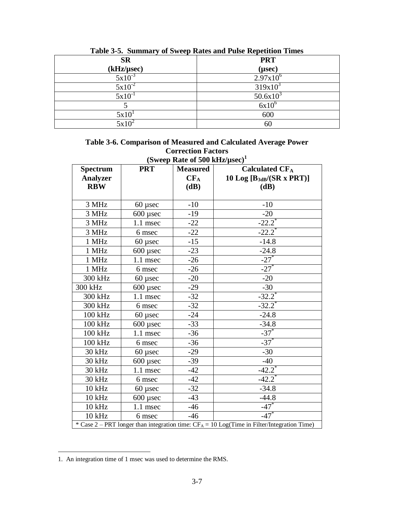| Tuble of a building of bacep rates and I also repeated Things |                |  |  |
|---------------------------------------------------------------|----------------|--|--|
| <b>SR</b>                                                     | <b>PRT</b>     |  |  |
| (kHz/µsec)                                                    | $(\mu$ sec $)$ |  |  |
| $5x10^{-3}$                                                   | $2.97x10^{6}$  |  |  |
| $5x10^{-2}$                                                   | $319x10^3$     |  |  |
| $5x10^{-1}$                                                   | $50.6x10^3$    |  |  |
|                                                               | $6x10^6$       |  |  |
| 5x10 <sup>1</sup>                                             | 600            |  |  |
| $5x10^2$                                                      | 60             |  |  |

**Table 3-5. Summary of Sweep Rates and Pulse Repetition Times**

| Table 3-6. Comparison of Measured and Calculated Average Power |
|----------------------------------------------------------------|
| <b>Correction Factors</b>                                      |
| (Sweep Rate of 500 kHz/ $\mu$ sec) <sup>1</sup>                |

| <b>Spectrum</b>                                                                               | <b>PRT</b>      | $(0$ weep rate of 500 KHz $\mu$ sec)<br><b>Measured</b> | <b>Calculated CFA</b>              |
|-----------------------------------------------------------------------------------------------|-----------------|---------------------------------------------------------|------------------------------------|
| <b>Analyzer</b>                                                                               |                 | $CF_A$                                                  | 10 Log $[B_{3dB}/(SR \times PRT)]$ |
| <b>RBW</b>                                                                                    |                 | (dB)                                                    | (dB)                               |
|                                                                                               |                 |                                                         |                                    |
| 3 MHz                                                                                         | $60$ µsec       | $-10$                                                   | $-10$                              |
| 3 MHz                                                                                         | 600 µsec        | $-19$                                                   | $-20$                              |
| 3 MHz                                                                                         | 1.1 msec        | $-22$                                                   | $-22.2$ <sup>*</sup>               |
| 3 MHz                                                                                         | 6 msec          | $-22$                                                   | $-22.2$ <sup>*</sup>               |
| 1 MHz                                                                                         | $60$ µsec       | $-15$                                                   | $-14.8$                            |
| 1 MHz                                                                                         | $600$ usec      | $-23$                                                   | $-24.8$                            |
| 1 MHz                                                                                         | 1.1 msec        | $-26$                                                   | $-27$ <sup>*</sup>                 |
| 1 MHz                                                                                         | 6 msec          | $-26$                                                   | $-27$ <sup>*</sup>                 |
| 300 kHz                                                                                       | $60$ µsec       | $-20$                                                   | $-20$                              |
| 300 kHz                                                                                       | $600$ usec      | $-29$                                                   | $-30$                              |
| 300 kHz                                                                                       | 1.1 msec        | $-32$                                                   | $-32.2$ <sup>*</sup>               |
| 300 kHz                                                                                       | 6 msec          | $-32$                                                   | $-32.\overline{2}^*$               |
| 100 kHz                                                                                       | $60$ usec       | $-24$                                                   | $-24.8$                            |
| 100 kHz                                                                                       | 600 µsec        | $-33$                                                   | $-34.8$                            |
| 100 kHz                                                                                       | 1.1 msec        | $-36$                                                   | $-37$ <sup>*</sup>                 |
| 100 kHz                                                                                       | 6 msec          | $-36$                                                   | $-37$ <sup>*</sup>                 |
| 30 kHz                                                                                        | $60$ µsec       | $-29$                                                   | $-30$                              |
| 30 kHz                                                                                        | $600$ $\mu$ sec | $-39$                                                   | $-40$                              |
| 30 kHz                                                                                        | 1.1 msec        | $-42$                                                   | $-42.2^{*}$                        |
| 30 kHz                                                                                        | 6 msec          | $-42$                                                   | $-42.2$ <sup>*</sup>               |
| 10 kHz                                                                                        | $60$ µsec       | $-32$                                                   | $-34.8$                            |
| 10 kHz                                                                                        | $600$ µsec      | $-43$                                                   | $-44.8$                            |
| 10 kHz                                                                                        | 1.1 msec        | $-46$                                                   | $-47$ <sup>*</sup>                 |
| 10 kHz                                                                                        | 6 msec          | $-46$                                                   | $-47$ <sup>*</sup>                 |
| * Case 2 – PRT longer than integration time: $CF_A = 10$ Log(Time in Filter/Integration Time) |                 |                                                         |                                    |

 $\overline{a}$ 

<sup>1.</sup> An integration time of 1 msec was used to determine the RMS.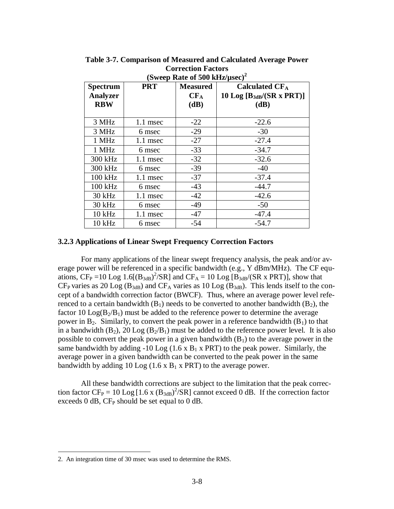| (Sweep Rate of 500 kHz/ $\mu$ sec) <sup>2</sup>  |            |                                   |                                                                 |
|--------------------------------------------------|------------|-----------------------------------|-----------------------------------------------------------------|
| <b>Spectrum</b><br><b>Analyzer</b><br><b>RBW</b> | <b>PRT</b> | <b>Measured</b><br>$CF_A$<br>(dB) | Calculated $CF_A$<br>10 Log $[B_{3dB}/(SR \times PRT)]$<br>(dB) |
| 3 MHz                                            | $1.1$ msec | $-22$                             | $-22.6$                                                         |
| 3 MHz                                            | 6 msec     | $-29$                             | $-30$                                                           |
| 1 MHz                                            | 1.1 msec   | $-27$                             | $-27.4$                                                         |
| 1 MHz                                            | 6 msec     | $-33$                             | $-34.7$                                                         |
| 300 kHz                                          | 1.1 msec   | $-32$                             | $-32.6$                                                         |
| 300 kHz                                          | 6 msec     | $-39$                             | $-40$                                                           |
| 100 kHz                                          | 1.1 msec   | $-37$                             | $-37.4$                                                         |
| 100 kHz                                          | 6 msec     | $-43$                             | $-44.7$                                                         |
| 30 kHz                                           | 1.1 msec   | $-42$                             | $-42.6$                                                         |
| 30 kHz                                           | 6 msec     | $-49$                             | $-50$                                                           |
| $10$ kHz                                         | 1.1 msec   | $-47$                             | $-47.4$                                                         |
| $10$ kHz                                         | 6 msec     | $-54$                             | $-54.7$                                                         |

**Table 3-7. Comparison of Measured and Calculated Average Power Correction Factors** 

#### **3.2.3 Applications of Linear Swept Frequency Correction Factors**

For many applications of the linear swept frequency analysis, the peak and/or average power will be referenced in a specific bandwidth (e.g., Y dBm/MHz). The CF equations,  $CF_P = 10$  Log 1.6 $[(B_{3dB})^2/SR]$  and  $CF_A = 10$  Log  $[B_{3dB}/(SR \times PRT)]$ , show that  $CF_P$  varies as 20 Log ( $B_{3dB}$ ) and  $CF_A$  varies as 10 Log ( $B_{3dB}$ ). This lends itself to the concept of a bandwidth correction factor (BWCF). Thus, where an average power level referenced to a certain bandwidth  $(B_1)$  needs to be converted to another bandwidth  $(B_2)$ , the factor 10  $Log(B_2/B_1)$  must be added to the reference power to determine the average power in  $B_2$ . Similarly, to convert the peak power in a reference bandwidth  $(B_1)$  to that in a bandwidth  $(B_2)$ , 20 Log  $(B_2/B_1)$  must be added to the reference power level. It is also possible to convert the peak power in a given bandwidth  $(B_1)$  to the average power in the same bandwidth by adding -10 Log  $(1.6 \times B_1 \times PRT)$  to the peak power. Similarly, the average power in a given bandwidth can be converted to the peak power in the same bandwidth by adding 10 Log  $(1.6 \times B_1 \times PRT)$  to the average power.

All these bandwidth corrections are subject to the limitation that the peak correction factor CF<sub>P</sub> = 10 Log [1.6 x (B<sub>3dB</sub>)<sup>2</sup>/SR] cannot exceed 0 dB. If the correction factor exceeds  $0$  dB, CF<sub>P</sub> should be set equal to  $0$  dB.

 $\overline{a}$ 

<sup>2.</sup> An integration time of 30 msec was used to determine the RMS.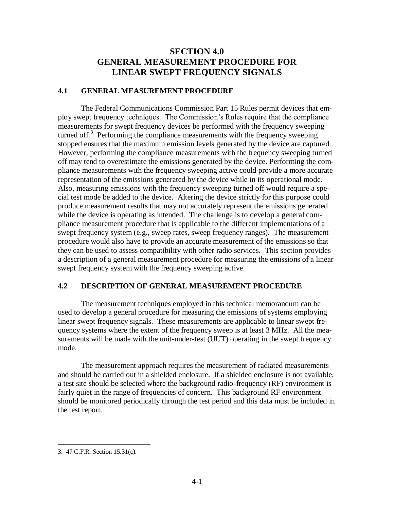## **SECTION 4.0 GENERAL MEASUREMENT PROCEDURE FOR LINEAR SWEPT FREQUENCY SIGNALS**

#### **4.1 GENERAL MEASUREMENT PROCEDURE**

The Federal Communications Commission Part 15 Rules permit devices that employ swept frequency techniques. The Commission's Rules require that the compliance measurements for swept frequency devices be performed with the frequency sweeping turned off.<sup>3</sup> Performing the compliance measurements with the frequency sweeping stopped ensures that the maximum emission levels generated by the device are captured. However, performing the compliance measurements with the frequency sweeping turned off may tend to overestimate the emissions generated by the device. Performing the compliance measurements with the frequency sweeping active could provide a more accurate representation of the emissions generated by the device while in its operational mode. Also, measuring emissions with the frequency sweeping turned off would require a special test mode be added to the device. Altering the device strictly for this purpose could produce measurement results that may not accurately represent the emissions generated while the device is operating as intended. The challenge is to develop a general compliance measurement procedure that is applicable to the different implementations of a swept frequency system (e.g., sweep rates, sweep frequency ranges). The measurement procedure would also have to provide an accurate measurement of the emissions so that they can be used to assess compatibility with other radio services. This section provides a description of a general measurement procedure for measuring the emissions of a linear swept frequency system with the frequency sweeping active.

#### **4.2 DESCRIPTION OF GENERAL MEASUREMENT PROCEDURE**

The measurement techniques employed in this technical memorandum can be used to develop a general procedure for measuring the emissions of systems employing linear swept frequency signals. These measurements are applicable to linear swept frequency systems where the extent of the frequency sweep is at least 3 MHz. All the measurements will be made with the unit-under-test (UUT) operating in the swept frequency mode.

The measurement approach requires the measurement of radiated measurements and should be carried out in a shielded enclosure. If a shielded enclosure is not available, a test site should be selected where the background radio-frequency (RF) environment is fairly quiet in the range of frequencies of concern. This background RF environment should be monitored periodically through the test period and this data must be included in the test report.

 $\overline{a}$ 

<sup>3. 47</sup> C.F.R. Section 15.31(c).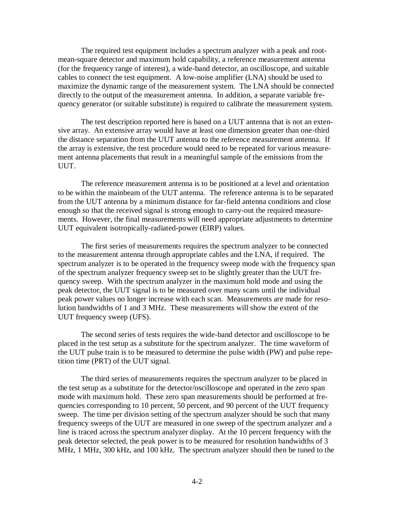The required test equipment includes a spectrum analyzer with a peak and rootmean-square detector and maximum hold capability, a reference measurement antenna (for the frequency range of interest), a wide-band detector, an oscilloscope, and suitable cables to connect the test equipment. A low-noise amplifier (LNA) should be used to maximize the dynamic range of the measurement system. The LNA should be connected directly to the output of the measurement antenna. In addition, a separate variable frequency generator (or suitable substitute) is required to calibrate the measurement system.

The test description reported here is based on a UUT antenna that is not an extensive array. An extensive array would have at least one dimension greater than one-third the distance separation from the UUT antenna to the reference measurement antenna. If the array is extensive, the test procedure would need to be repeated for various measurement antenna placements that result in a meaningful sample of the emissions from the UUT.

The reference measurement antenna is to be positioned at a level and orientation to be within the mainbeam of the UUT antenna. The reference antenna is to be separated from the UUT antenna by a minimum distance for far-field antenna conditions and close enough so that the received signal is strong enough to carry-out the required measurements. However, the final measurements will need appropriate adjustments to determine UUT equivalent isotropically-radiated-power (EIRP) values.

The first series of measurements requires the spectrum analyzer to be connected to the measurement antenna through appropriate cables and the LNA, if required. The spectrum analyzer is to be operated in the frequency sweep mode with the frequency span of the spectrum analyzer frequency sweep set to be slightly greater than the UUT frequency sweep. With the spectrum analyzer in the maximum hold mode and using the peak detector, the UUT signal is to be measured over many scans until the individual peak power values no longer increase with each scan. Measurements are made for resolution bandwidths of 1 and 3 MHz. These measurements will show the extent of the UUT frequency sweep (UFS).

The second series of tests requires the wide-band detector and oscilloscope to be placed in the test setup as a substitute for the spectrum analyzer. The time waveform of the UUT pulse train is to be measured to determine the pulse width (PW) and pulse repetition time (PRT) of the UUT signal.

The third series of measurements requires the spectrum analyzer to be placed in the test setup as a substitute for the detector/oscilloscope and operated in the zero span mode with maximum hold. These zero span measurements should be performed at frequencies corresponding to 10 percent, 50 percent, and 90 percent of the UUT frequency sweep. The time per division setting of the spectrum analyzer should be such that many frequency sweeps of the UUT are measured in one sweep of the spectrum analyzer and a line is traced across the spectrum analyzer display. At the 10 percent frequency with the peak detector selected, the peak power is to be measured for resolution bandwidths of 3 MHz, 1 MHz, 300 kHz, and 100 kHz. The spectrum analyzer should then be tuned to the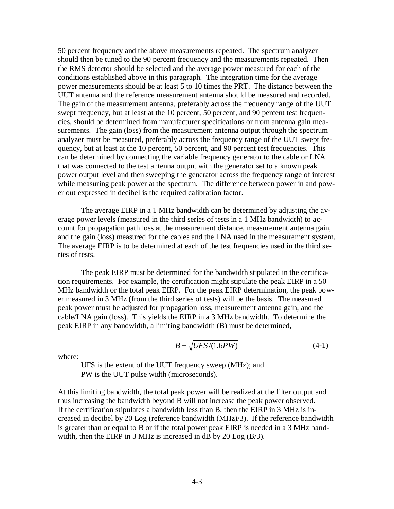50 percent frequency and the above measurements repeated. The spectrum analyzer should then be tuned to the 90 percent frequency and the measurements repeated. Then the RMS detector should be selected and the average power measured for each of the conditions established above in this paragraph. The integration time for the average power measurements should be at least 5 to 10 times the PRT. The distance between the UUT antenna and the reference measurement antenna should be measured and recorded. The gain of the measurement antenna, preferably across the frequency range of the UUT swept frequency, but at least at the 10 percent, 50 percent, and 90 percent test frequencies, should be determined from manufacturer specifications or from antenna gain measurements. The gain (loss) from the measurement antenna output through the spectrum analyzer must be measured, preferably across the frequency range of the UUT swept frequency, but at least at the 10 percent, 50 percent, and 90 percent test frequencies. This can be determined by connecting the variable frequency generator to the cable or LNA that was connected to the test antenna output with the generator set to a known peak power output level and then sweeping the generator across the frequency range of interest while measuring peak power at the spectrum. The difference between power in and power out expressed in decibel is the required calibration factor.

The average EIRP in a 1 MHz bandwidth can be determined by adjusting the average power levels (measured in the third series of tests in a 1 MHz bandwidth) to account for propagation path loss at the measurement distance, measurement antenna gain, and the gain (loss) measured for the cables and the LNA used in the measurement system. The average EIRP is to be determined at each of the test frequencies used in the third series of tests.

The peak EIRP must be determined for the bandwidth stipulated in the certification requirements. For example, the certification might stipulate the peak EIRP in a 50 MHz bandwidth or the total peak EIRP. For the peak EIRP determination, the peak power measured in 3 MHz (from the third series of tests) will be the basis. The measured peak power must be adjusted for propagation loss, measurement antenna gain, and the cable/LNA gain (loss). This yields the EIRP in a 3 MHz bandwidth. To determine the peak EIRP in any bandwidth, a limiting bandwidth (B) must be determined,

$$
B = \sqrt{UFS/(1.6PW)}\tag{4-1}
$$

where:

UFS is the extent of the UUT frequency sweep (MHz); and PW is the UUT pulse width (microseconds).

At this limiting bandwidth, the total peak power will be realized at the filter output and thus increasing the bandwidth beyond B will not increase the peak power observed. If the certification stipulates a bandwidth less than B, then the EIRP in 3 MHz is increased in decibel by 20 Log (reference bandwidth (MHz)/3). If the reference bandwidth is greater than or equal to B or if the total power peak EIRP is needed in a 3 MHz bandwidth, then the EIRP in 3 MHz is increased in dB by 20 Log (B/3).